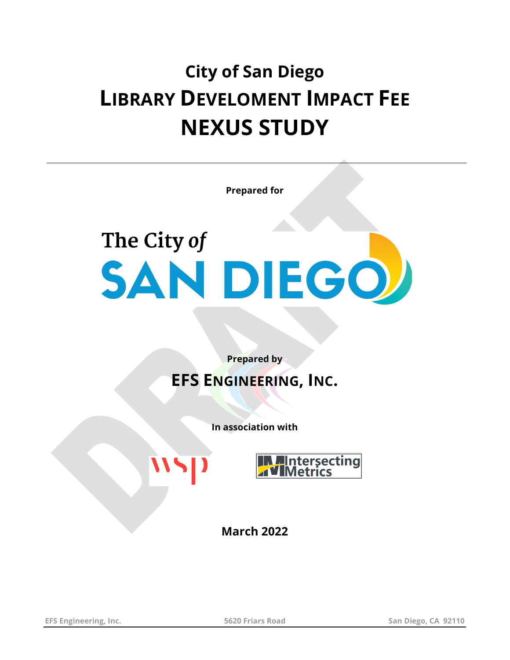## **City of San Diego LIBRARY DEVELOMENT IMPACT FEE NEXUS STUDY**

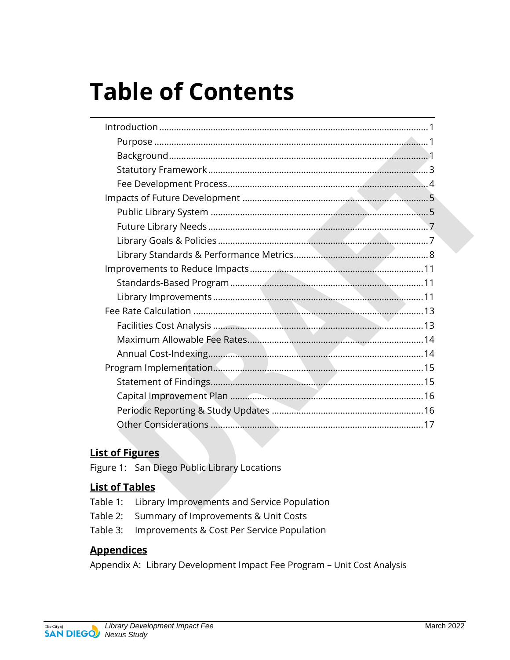# **Table of Contents**

#### **List of Figures**

Figure 1: San Diego Public Library Locations

#### **List of Tables**

- Table 1: Library Improvements and Service Population
- Summary of Improvements & Unit Costs Table 2:
- Improvements & Cost Per Service Population Table 3:

#### **Appendices**

Appendix A: Library Development Impact Fee Program - Unit Cost Analysis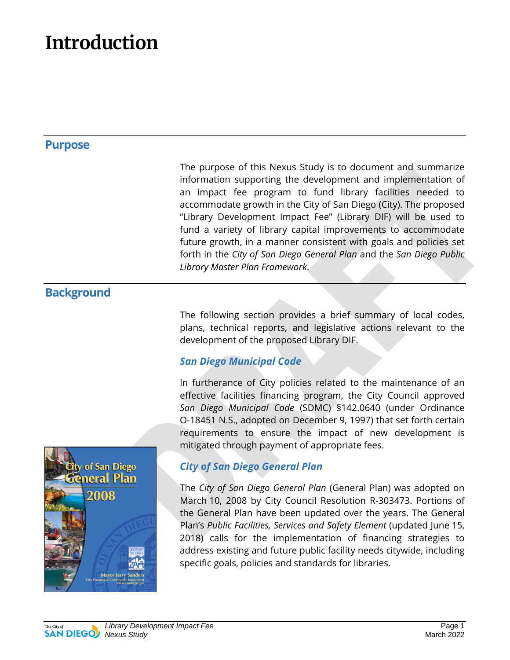### **Introduction**

#### **Purpose**

The purpose of this Nexus Study is to document and summarize information supporting the development and implementation of an impact fee program to fund library facilities needed to accommodate growth in the City of San Diego (City). The proposed "Library Development Impact Fee" (Library DIF) will be used to fund a variety of library capital improvements to accommodate future growth, in a manner consistent with goals and policies set forth in the *City of San Diego General Plan* and the *San Diego Public Library Master Plan Framework*.

#### **Background**

The following section provides a brief summary of local codes, plans, technical reports, and legislative actions relevant to the development of the proposed Library DIF.

#### *San Diego Municipal Code*

In furtherance of City policies related to the maintenance of an effective facilities financing program, the City Council approved *San Diego Municipal Code* (SDMC) §142.0640 (under Ordinance O-18451 N.S., adopted on December 9, 1997) that set forth certain requirements to ensure the impact of new development is mitigated through payment of appropriate fees.



#### *City of San Diego General Plan*

The *City of San Diego General Plan* (General Plan) was adopted on March 10, 2008 by City Council Resolution R-303473. Portions of the General Plan have been updated over the years. The General Plan's *Public Facilities, Services and Safety Element* (updated June 15, 2018) calls for the implementation of financing strategies to address existing and future public facility needs citywide, including specific goals, policies and standards for libraries.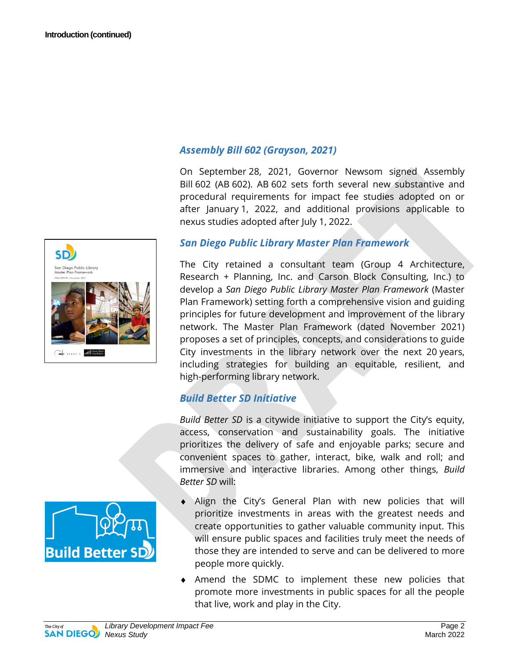



#### *Assembly Bill 602 (Grayson, 2021)*

On September 28, 2021, Governor Newsom signed Assembly Bill 602 (AB 602). AB 602 sets forth several new substantive and procedural requirements for impact fee studies adopted on or after January 1, 2022, and additional provisions applicable to nexus studies adopted after July 1, 2022.

#### *San Diego Public Library Master Plan Framework*

The City retained a consultant team (Group 4 Architecture, Research + Planning, Inc. and Carson Block Consulting, Inc.) to develop a *San Diego Public Library Master Plan Framework* (Master Plan Framework) setting forth a comprehensive vision and guiding principles for future development and improvement of the library network. The Master Plan Framework (dated November 2021) proposes a set of principles, concepts, and considerations to guide City investments in the library network over the next 20 years, including strategies for building an equitable, resilient, and high-performing library network.

#### *Build Better SD Initiative*

*Build Better SD* is a citywide initiative to support the City's equity, access, conservation and sustainability goals. The initiative prioritizes the delivery of safe and enjoyable parks; secure and convenient spaces to gather, interact, bike, walk and roll; and immersive and interactive libraries. Among other things, *Build Better SD* will:

- Align the City's General Plan with new policies that will prioritize investments in areas with the greatest needs and create opportunities to gather valuable community input. This will ensure public spaces and facilities truly meet the needs of those they are intended to serve and can be delivered to more people more quickly.
- ♦ Amend the SDMC to implement these new policies that promote more investments in public spaces for all the people that live, work and play in the City.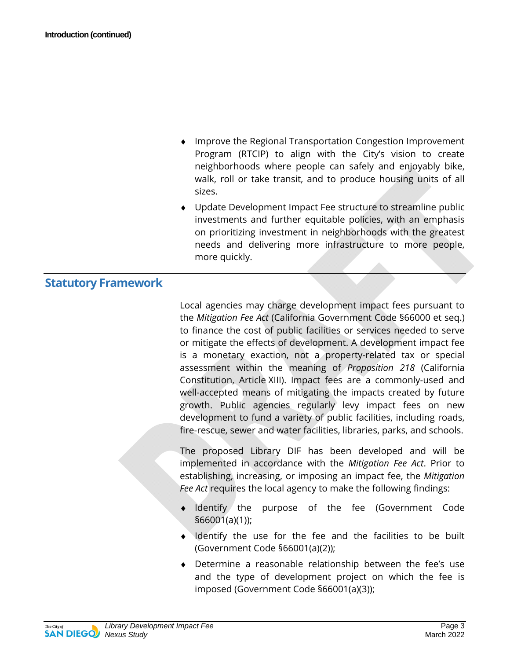- Improve the Regional Transportation Congestion Improvement Program (RTCIP) to align with the City's vision to create neighborhoods where people can safely and enjoyably bike, walk, roll or take transit, and to produce housing units of all sizes.
- ♦ Update Development Impact Fee structure to streamline public investments and further equitable policies, with an emphasis on prioritizing investment in neighborhoods with the greatest needs and delivering more infrastructure to more people, more quickly.

#### **Statutory Framework**

Local agencies may charge development impact fees pursuant to the *Mitigation Fee Act* (California Government Code §66000 et seq.) to finance the cost of public facilities or services needed to serve or mitigate the effects of development. A development impact fee is a monetary exaction, not a property-related tax or special assessment within the meaning of *Proposition 218* (California Constitution, Article XIII). Impact fees are a commonly-used and well-accepted means of mitigating the impacts created by future growth. Public agencies regularly levy impact fees on new development to fund a variety of public facilities, including roads, fire-rescue, sewer and water facilities, libraries, parks, and schools.

The proposed Library DIF has been developed and will be implemented in accordance with the *Mitigation Fee Act*. Prior to establishing, increasing, or imposing an impact fee, the *Mitigation Fee Act* requires the local agency to make the following findings:

- Identify the purpose of the fee (Government Code §66001(a)(1));
- ♦ Identify the use for the fee and the facilities to be built (Government Code §66001(a)(2));
- ♦ Determine a reasonable relationship between the fee's use and the type of development project on which the fee is imposed (Government Code §66001(a)(3));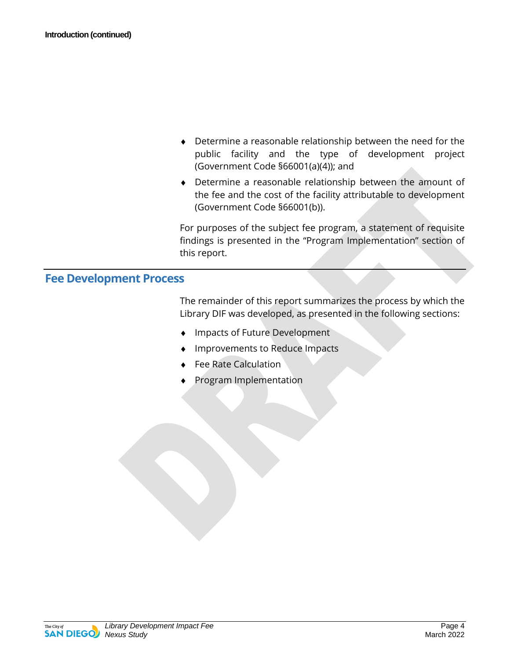- ♦ Determine a reasonable relationship between the need for the public facility and the type of development project (Government Code §66001(a)(4)); and
- ♦ Determine a reasonable relationship between the amount of the fee and the cost of the facility attributable to development (Government Code §66001(b)).

For purposes of the subject fee program, a statement of requisite findings is presented in the "Program Implementation" section of this report.

#### **Fee Development Process**

The remainder of this report summarizes the process by which the Library DIF was developed, as presented in the following sections:

- Impacts of Future Development
- Improvements to Reduce Impacts
- **Fee Rate Calculation**
- Program Implementation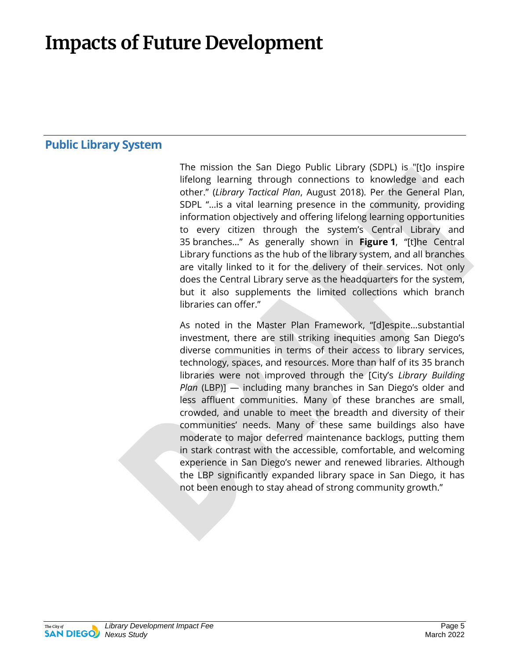### **Impacts of Future Development**

#### **Public Library System**

The mission the San Diego Public Library (SDPL) is "[t]o inspire lifelong learning through connections to knowledge and each other." (*Library Tactical Plan*, August 2018). Per the General Plan, SDPL "…is a vital learning presence in the community, providing information objectively and offering lifelong learning opportunities to every citizen through the system's Central Library and 35 branches…" As generally shown in **Figure 1**, "[t]he Central Library functions as the hub of the library system, and all branches are vitally linked to it for the delivery of their services. Not only does the Central Library serve as the headquarters for the system, but it also supplements the limited collections which branch libraries can offer."

As noted in the Master Plan Framework, "[d]espite…substantial investment, there are still striking inequities among San Diego's diverse communities in terms of their access to library services, technology, spaces, and resources. More than half of its 35 branch libraries were not improved through the [City's *Library Building Plan* (LBP)] — including many branches in San Diego's older and less affluent communities. Many of these branches are small, crowded, and unable to meet the breadth and diversity of their communities' needs. Many of these same buildings also have moderate to major deferred maintenance backlogs, putting them in stark contrast with the accessible, comfortable, and welcoming experience in San Diego's newer and renewed libraries. Although the LBP significantly expanded library space in San Diego, it has not been enough to stay ahead of strong community growth."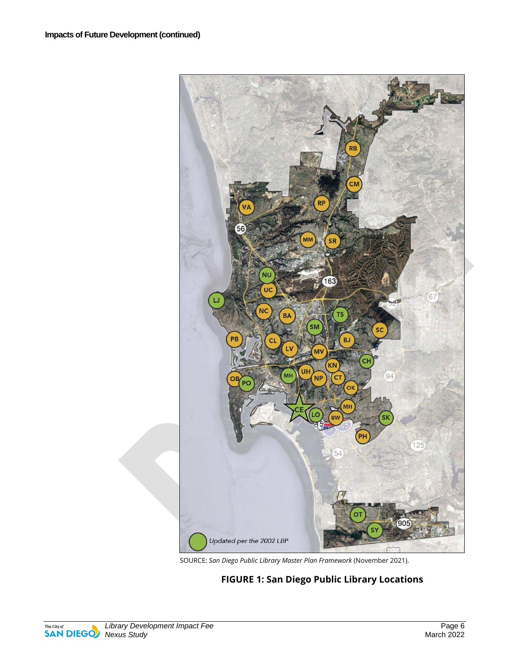

SOURCE: *San Diego Public Library Master Plan Framework* (November 2021).

#### **FIGURE 1: San Diego Public Library Locations**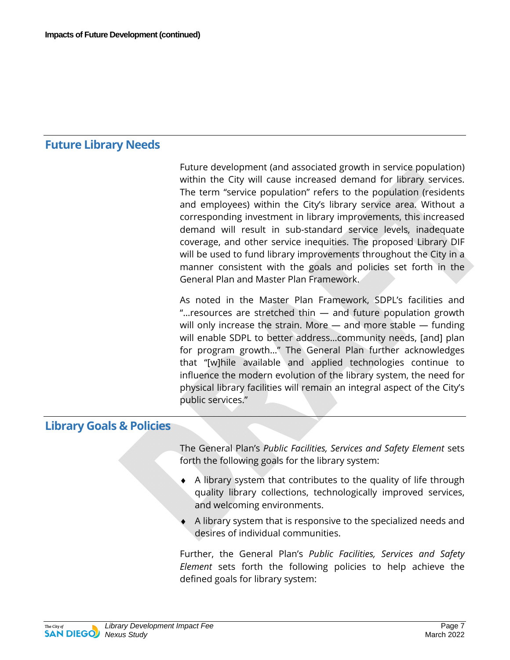#### **Future Library Needs**

Future development (and associated growth in service population) within the City will cause increased demand for library services. The term "service population" refers to the population (residents and employees) within the City's library service area. Without a corresponding investment in library improvements, this increased demand will result in sub-standard service levels, inadequate coverage, and other service inequities. The proposed Library DIF will be used to fund library improvements throughout the City in a manner consistent with the goals and policies set forth in the General Plan and Master Plan Framework.

As noted in the Master Plan Framework, SDPL's facilities and "…resources are stretched thin — and future population growth will only increase the strain. More — and more stable — funding will enable SDPL to better address…community needs, [and] plan for program growth…" The General Plan further acknowledges that "[w]hile available and applied technologies continue to influence the modern evolution of the library system, the need for physical library facilities will remain an integral aspect of the City's public services."

#### **Library Goals & Policies**

The General Plan's *Public Facilities, Services and Safety Element* sets forth the following goals for the library system:

- ♦ A library system that contributes to the quality of life through quality library collections, technologically improved services, and welcoming environments.
- A library system that is responsive to the specialized needs and desires of individual communities.

Further, the General Plan's *Public Facilities, Services and Safety Element* sets forth the following policies to help achieve the defined goals for library system: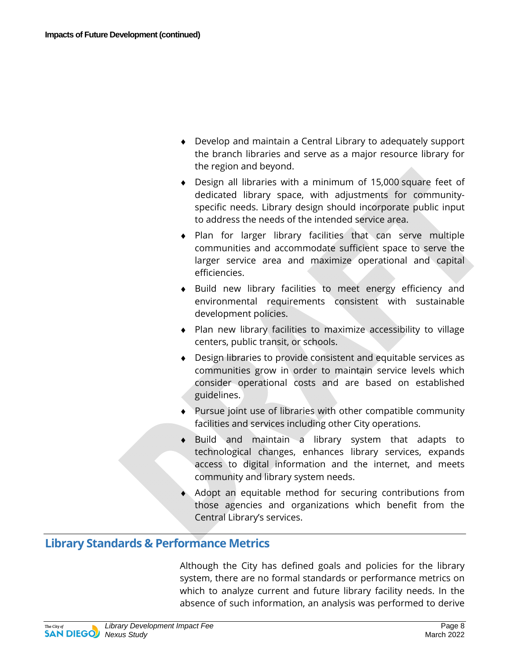- ♦ Develop and maintain a Central Library to adequately support the branch libraries and serve as a major resource library for the region and beyond.
- ♦ Design all libraries with a minimum of 15,000 square feet of dedicated library space, with adjustments for communityspecific needs. Library design should incorporate public input to address the needs of the intended service area.
- ♦ Plan for larger library facilities that can serve multiple communities and accommodate sufficient space to serve the larger service area and maximize operational and capital efficiencies.
- ♦ Build new library facilities to meet energy efficiency and environmental requirements consistent with sustainable development policies.
- ♦ Plan new library facilities to maximize accessibility to village centers, public transit, or schools.
- ♦ Design libraries to provide consistent and equitable services as communities grow in order to maintain service levels which consider operational costs and are based on established guidelines.
- ♦ Pursue joint use of libraries with other compatible community facilities and services including other City operations.
- ♦ Build and maintain a library system that adapts to technological changes, enhances library services, expands access to digital information and the internet, and meets community and library system needs.
- Adopt an equitable method for securing contributions from those agencies and organizations which benefit from the Central Library's services.

#### **Library Standards & Performance Metrics**

Although the City has defined goals and policies for the library system, there are no formal standards or performance metrics on which to analyze current and future library facility needs. In the absence of such information, an analysis was performed to derive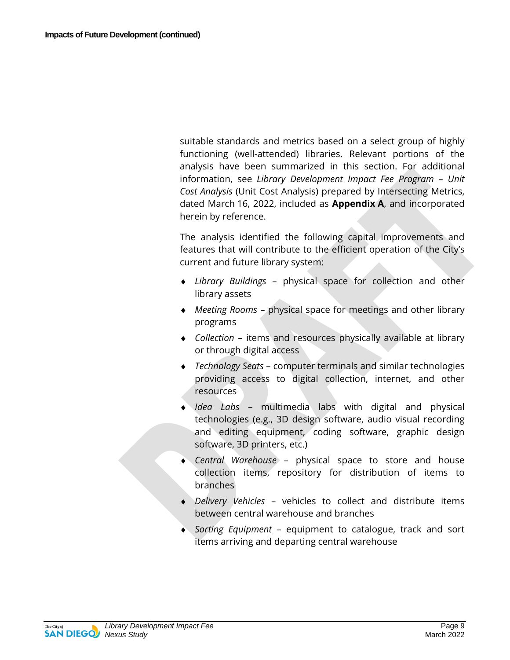suitable standards and metrics based on a select group of highly functioning (well-attended) libraries. Relevant portions of the analysis have been summarized in this section. For additional information, see *Library Development Impact Fee Program – Unit Cost Analysis* (Unit Cost Analysis) prepared by Intersecting Metrics, dated March 16, 2022, included as **Appendix A**, and incorporated herein by reference.

The analysis identified the following capital improvements and features that will contribute to the efficient operation of the City's current and future library system:

- ♦ *Library Buildings*  physical space for collection and other library assets
- ♦ *Meeting Rooms* physical space for meetings and other library programs
- ♦ *Collection*  items and resources physically available at library or through digital access
- ♦ *Technology Seats* computer terminals and similar technologies providing access to digital collection, internet, and other resources
- ♦ *Idea Labs* multimedia labs with digital and physical technologies (e.g., 3D design software, audio visual recording and editing equipment, coding software, graphic design software, 3D printers, etc.)
- ♦ *Central Warehouse* physical space to store and house collection items, repository for distribution of items to branches
- ♦ *Delivery Vehicles* vehicles to collect and distribute items between central warehouse and branches
- ♦ *Sorting Equipment* equipment to catalogue, track and sort items arriving and departing central warehouse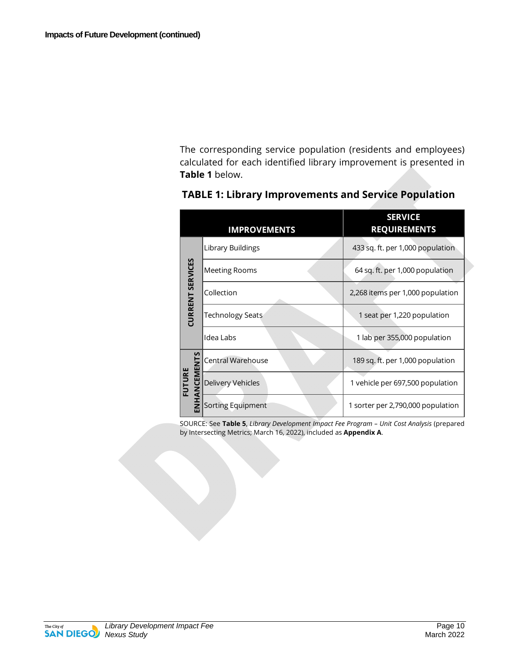The corresponding service population (residents and employees) calculated for each identified library improvement is presented in **Table 1** below.

|                         | <b>IMPROVEMENTS</b>     | <b>SERVICE</b><br><b>REQUIREMENTS</b> |  |
|-------------------------|-------------------------|---------------------------------------|--|
| <b>CURRENT SERVICES</b> | Library Buildings       | 433 sq. ft. per 1,000 population      |  |
|                         | Meeting Rooms           | 64 sq. ft. per 1,000 population       |  |
|                         | Collection              | 2,268 items per 1,000 population      |  |
|                         | <b>Technology Seats</b> | 1 seat per 1,220 population           |  |
|                         | Idea Labs               | 1 lab per 355,000 population          |  |
| n<br>롧                  | Central Warehouse       | 189 sq. ft. per 1,000 population      |  |
| FUTURE<br>ANCEM         | Delivery Vehicles       | 1 vehicle per 697,500 population      |  |
|                         | Sorting Equipment       | 1 sorter per 2,790,000 population     |  |

#### **TABLE 1: Library Improvements and Service Population**

SOURCE: See **Table 5**, *Library Development Impact Fee Program – Unit Cost Analysis* (prepared by Intersecting Metrics; March 16, 2022), included as **Appendix A**.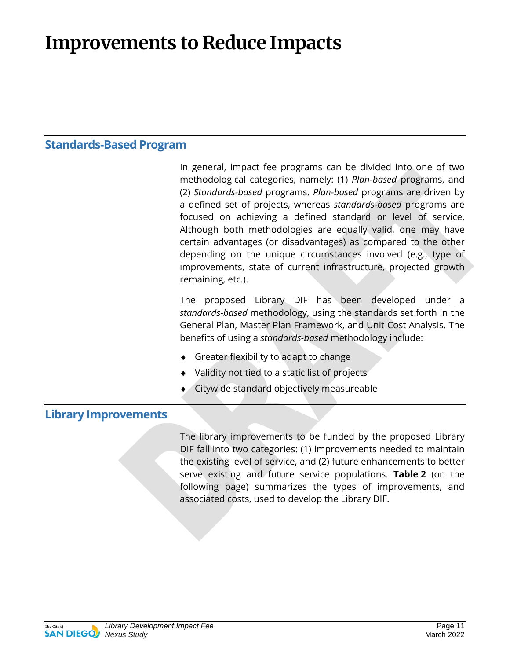### **Improvements to Reduce Impacts**

#### **Standards-Based Program**

In general, impact fee programs can be divided into one of two methodological categories, namely: (1) *Plan-based* programs, and (2) *Standards-based* programs. *Plan-based* programs are driven by a defined set of projects, whereas *standards-based* programs are focused on achieving a defined standard or level of service. Although both methodologies are equally valid, one may have certain advantages (or disadvantages) as compared to the other depending on the unique circumstances involved (e.g., type of improvements, state of current infrastructure, projected growth remaining, etc.).

The proposed Library DIF has been developed under a *standards-based* methodology, using the standards set forth in the General Plan, Master Plan Framework, and Unit Cost Analysis. The benefits of using a *standards-based* methodology include:

- Greater flexibility to adapt to change
- Validity not tied to a static list of projects
- Citywide standard objectively measureable

#### **Library Improvements**

The library improvements to be funded by the proposed Library DIF fall into two categories: (1) improvements needed to maintain the existing level of service, and (2) future enhancements to better serve existing and future service populations. **Table 2** (on the following page) summarizes the types of improvements, and associated costs, used to develop the Library DIF.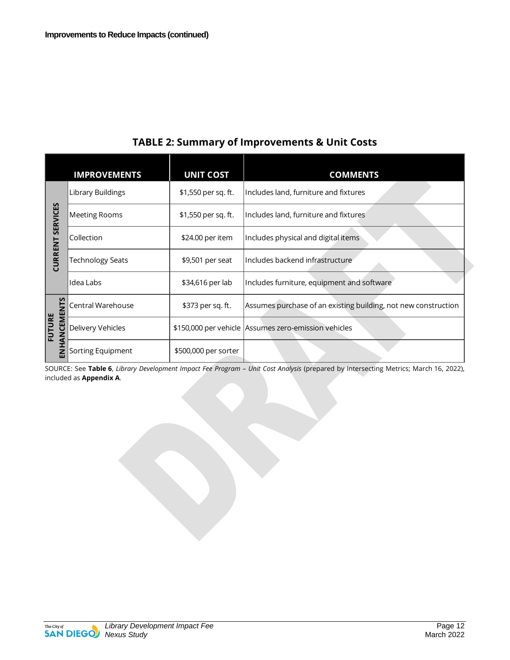|                                   | <b>IMPROVEMENTS</b>     | <b>UNIT COST</b>     | <b>COMMENTS</b>                                                |
|-----------------------------------|-------------------------|----------------------|----------------------------------------------------------------|
| <b>SERVICES</b><br><b>CURRENT</b> | Library Buildings       | \$1,550 per sq. ft.  | Includes land, furniture and fixtures                          |
|                                   | <b>Meeting Rooms</b>    | \$1,550 per sq. ft.  | Includes land, furniture and fixtures                          |
|                                   | Collection              | \$24.00 per item     | Includes physical and digital items                            |
|                                   | <b>Technology Seats</b> | \$9,501 per seat     | Includes backend infrastructure                                |
|                                   | Idea Labs               | \$34,616 per lab     | Includes furniture, equipment and software                     |
| ANCEMENTS<br><b>FUTURE</b><br>롭   | Central Warehouse       | \$373 per sq. ft.    | Assumes purchase of an existing building, not new construction |
|                                   | Delivery Vehicles       |                      | \$150,000 per vehicle Assumes zero-emission vehicles           |
|                                   | Sorting Equipment       | \$500,000 per sorter |                                                                |

#### **TABLE 2: Summary of Improvements & Unit Costs**

SOURCE: See **Table 6**, *Library Development Impact Fee Program – Unit Cost Analysis* (prepared by Intersecting Metrics; March 16, 2022), included as **Appendix A**.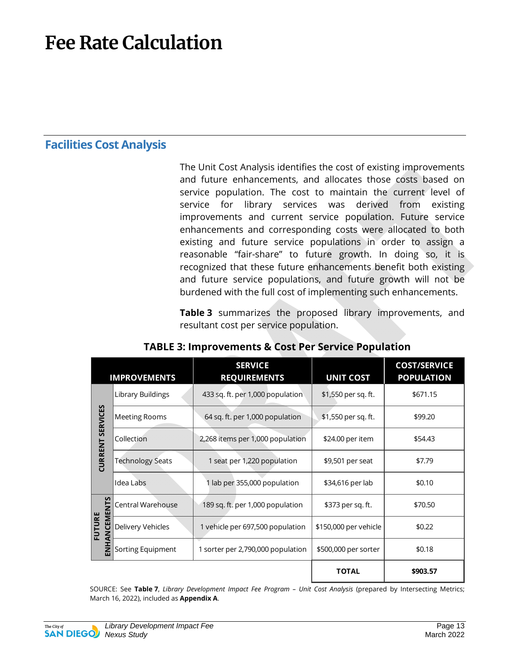### **Fee Rate Calculation**

#### **Facilities Cost Analysis**

The Unit Cost Analysis identifies the cost of existing improvements and future enhancements, and allocates those costs based on service population. The cost to maintain the current level of service for library services was derived from existing improvements and current service population. Future service enhancements and corresponding costs were allocated to both existing and future service populations in order to assign a reasonable "fair-share" to future growth. In doing so, it is recognized that these future enhancements benefit both existing and future service populations, and future growth will not be burdened with the full cost of implementing such enhancements.

**Table 3** summarizes the proposed library improvements, and resultant cost per service population.

|                                   | <b>IMPROVEMENTS</b>     | <b>SERVICE</b><br><b>REQUIREMENTS</b> | <b>UNIT COST</b>      | <b>COST/SERVICE</b><br><b>POPULATION</b> |
|-----------------------------------|-------------------------|---------------------------------------|-----------------------|------------------------------------------|
| <b>SERVICES</b><br><b>CURRENT</b> | Library Buildings       | 433 sq. ft. per 1,000 population      | \$1,550 per sq. ft.   | \$671.15                                 |
|                                   | <b>Meeting Rooms</b>    | 64 sq. ft. per 1,000 population       | \$1,550 per sq. ft.   | \$99.20                                  |
|                                   | Collection              | 2,268 items per 1,000 population      | \$24.00 per item      | \$54.43                                  |
|                                   | <b>Technology Seats</b> | 1 seat per 1,220 population           | \$9,501 per seat      | \$7.79                                   |
|                                   | Idea Labs               | 1 lab per 355,000 population          | \$34,616 per lab      | \$0.10                                   |
| ANCEMENTS<br>FUTURE<br>롪          | Central Warehouse       | 189 sq. ft. per 1,000 population      | \$373 per sq. ft.     | \$70.50                                  |
|                                   | Delivery Vehicles       | 1 vehicle per 697,500 population      | \$150,000 per vehicle | \$0.22                                   |
|                                   | Sorting Equipment       | 1 sorter per 2,790,000 population     | \$500,000 per sorter  | \$0.18                                   |
|                                   |                         |                                       | <b>TOTAL</b>          | \$903.57                                 |

#### **TABLE 3: Improvements & Cost Per Service Population**

SOURCE: See **Table 7**, *Library Development Impact Fee Program – Unit Cost Analysis* (prepared by Intersecting Metrics; March 16, 2022), included as **Appendix A**.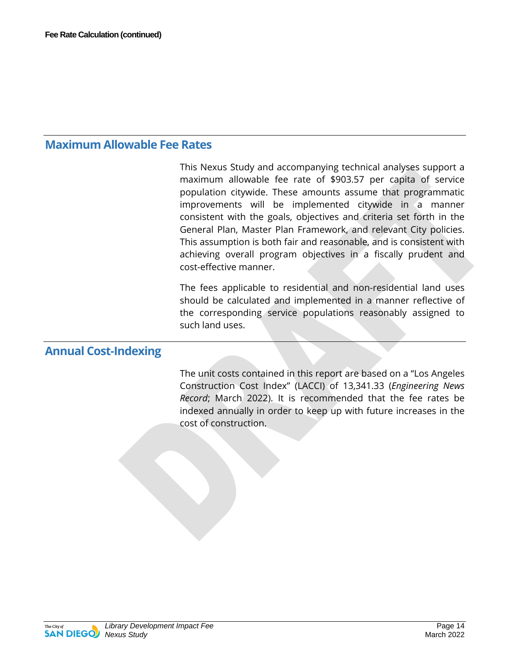#### **Maximum Allowable Fee Rates**

This Nexus Study and accompanying technical analyses support a maximum allowable fee rate of \$903.57 per capita of service population citywide. These amounts assume that programmatic improvements will be implemented citywide in a manner consistent with the goals, objectives and criteria set forth in the General Plan, Master Plan Framework, and relevant City policies. This assumption is both fair and reasonable, and is consistent with achieving overall program objectives in a fiscally prudent and cost-effective manner.

The fees applicable to residential and non-residential land uses should be calculated and implemented in a manner reflective of the corresponding service populations reasonably assigned to such land uses.

#### **Annual Cost-Indexing**

The unit costs contained in this report are based on a "Los Angeles Construction Cost Index" (LACCI) of 13,341.33 (*Engineering News Record*; March 2022). It is recommended that the fee rates be indexed annually in order to keep up with future increases in the cost of construction.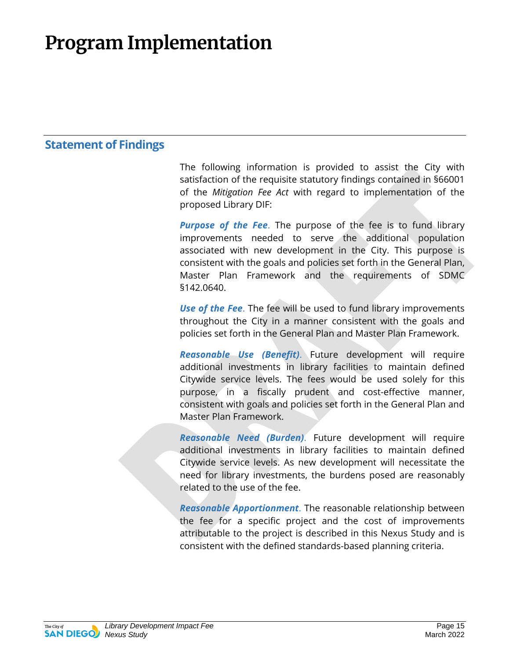### **Program Implementation**

#### **Statement of Findings**

The following information is provided to assist the City with satisfaction of the requisite statutory findings contained in §66001 of the *Mitigation Fee Act* with regard to implementation of the proposed Library DIF:

**Purpose of the Fee.** The purpose of the fee is to fund library improvements needed to serve the additional population associated with new development in the City. This purpose is consistent with the goals and policies set forth in the General Plan, Master Plan Framework and the requirements of SDMC §142.0640.

*Use of the Fee*. The fee will be used to fund library improvements throughout the City in a manner consistent with the goals and policies set forth in the General Plan and Master Plan Framework.

*Reasonable Use (Benefit)*. Future development will require additional investments in library facilities to maintain defined Citywide service levels. The fees would be used solely for this purpose, in a fiscally prudent and cost-effective manner, consistent with goals and policies set forth in the General Plan and Master Plan Framework.

*Reasonable Need (Burden)*. Future development will require additional investments in library facilities to maintain defined Citywide service levels. As new development will necessitate the need for library investments, the burdens posed are reasonably related to the use of the fee.

*Reasonable Apportionment*. The reasonable relationship between the fee for a specific project and the cost of improvements attributable to the project is described in this Nexus Study and is consistent with the defined standards-based planning criteria.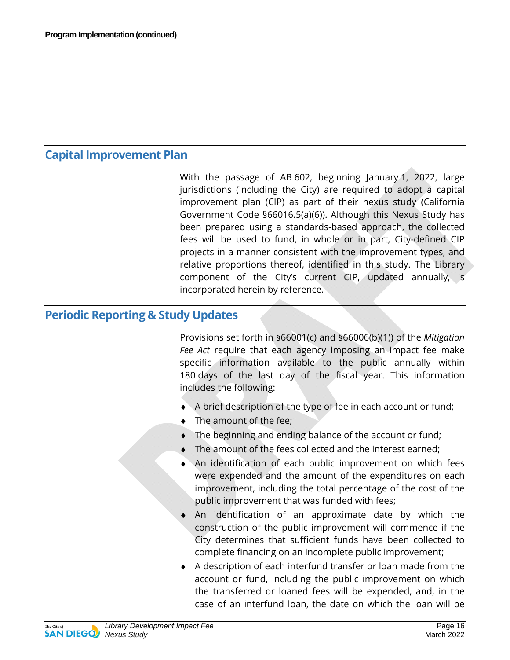#### **Capital Improvement Plan**

With the passage of AB 602, beginning January 1, 2022, large jurisdictions (including the City) are required to adopt a capital improvement plan (CIP) as part of their nexus study (California Government Code §66016.5(a)(6)). Although this Nexus Study has been prepared using a standards-based approach, the collected fees will be used to fund, in whole or in part, City-defined CIP projects in a manner consistent with the improvement types, and relative proportions thereof, identified in this study. The Library component of the City's current CIP, updated annually, is incorporated herein by reference.

#### **Periodic Reporting & Study Updates**

Provisions set forth in §66001(c) and §66006(b)(1)) of the *Mitigation Fee Act* require that each agency imposing an impact fee make specific information available to the public annually within 180 days of the last day of the fiscal year. This information includes the following:

- $\blacklozenge$  A brief description of the type of fee in each account or fund;
- ♦ The amount of the fee;
- ♦ The beginning and ending balance of the account or fund;
- ♦ The amount of the fees collected and the interest earned;
- An identification of each public improvement on which fees were expended and the amount of the expenditures on each improvement, including the total percentage of the cost of the public improvement that was funded with fees;
- An identification of an approximate date by which the construction of the public improvement will commence if the City determines that sufficient funds have been collected to complete financing on an incomplete public improvement;
- ♦ A description of each interfund transfer or loan made from the account or fund, including the public improvement on which the transferred or loaned fees will be expended, and, in the case of an interfund loan, the date on which the loan will be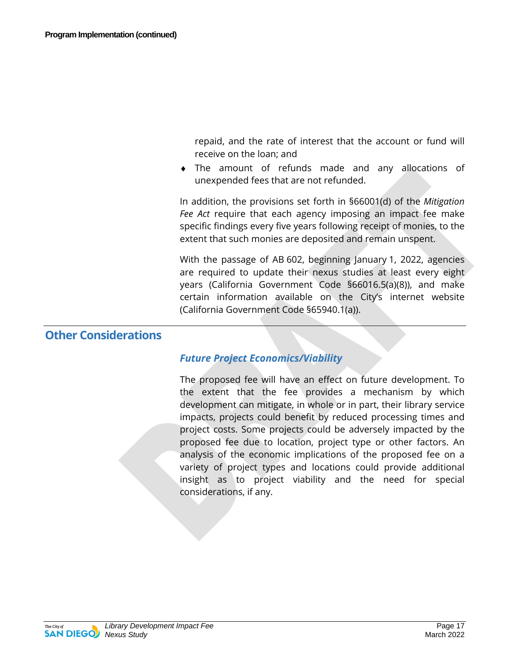repaid, and the rate of interest that the account or fund will receive on the loan; and

♦ The amount of refunds made and any allocations of unexpended fees that are not refunded.

In addition, the provisions set forth in §66001(d) of the *Mitigation Fee Act* require that each agency imposing an impact fee make specific findings every five years following receipt of monies, to the extent that such monies are deposited and remain unspent.

With the passage of AB 602, beginning January 1, 2022, agencies are required to update their nexus studies at least every eight years (California Government Code §66016.5(a)(8)), and make certain information available on the City's internet website (California Government Code §65940.1(a)).

#### **Other Considerations**

#### *Future Project Economics/Viability*

The proposed fee will have an effect on future development. To the extent that the fee provides a mechanism by which development can mitigate, in whole or in part, their library service impacts, projects could benefit by reduced processing times and project costs. Some projects could be adversely impacted by the proposed fee due to location, project type or other factors. An analysis of the economic implications of the proposed fee on a variety of project types and locations could provide additional insight as to project viability and the need for special considerations, if any.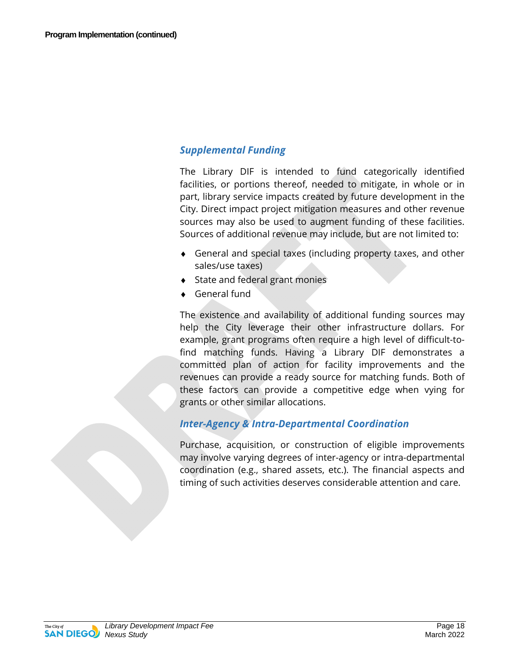#### *Supplemental Funding*

The Library DIF is intended to fund categorically identified facilities, or portions thereof, needed to mitigate, in whole or in part, library service impacts created by future development in the City. Direct impact project mitigation measures and other revenue sources may also be used to augment funding of these facilities. Sources of additional revenue may include, but are not limited to:

- ♦ General and special taxes (including property taxes, and other sales/use taxes)
- ◆ State and federal grant monies
- ♦ General fund

The existence and availability of additional funding sources may help the City leverage their other infrastructure dollars. For example, grant programs often require a high level of difficult-tofind matching funds. Having a Library DIF demonstrates a committed plan of action for facility improvements and the revenues can provide a ready source for matching funds. Both of these factors can provide a competitive edge when vying for grants or other similar allocations.

#### *Inter-Agency & Intra-Departmental Coordination*

Purchase, acquisition, or construction of eligible improvements may involve varying degrees of inter-agency or intra-departmental coordination (e.g., shared assets, etc.). The financial aspects and timing of such activities deserves considerable attention and care.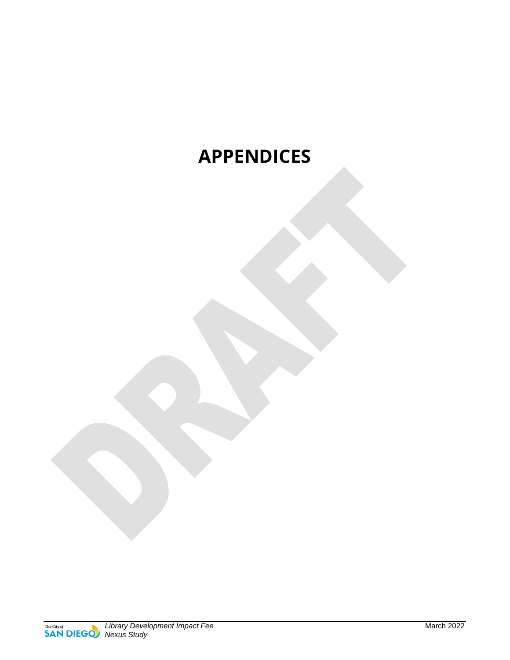### **APPENDICES**